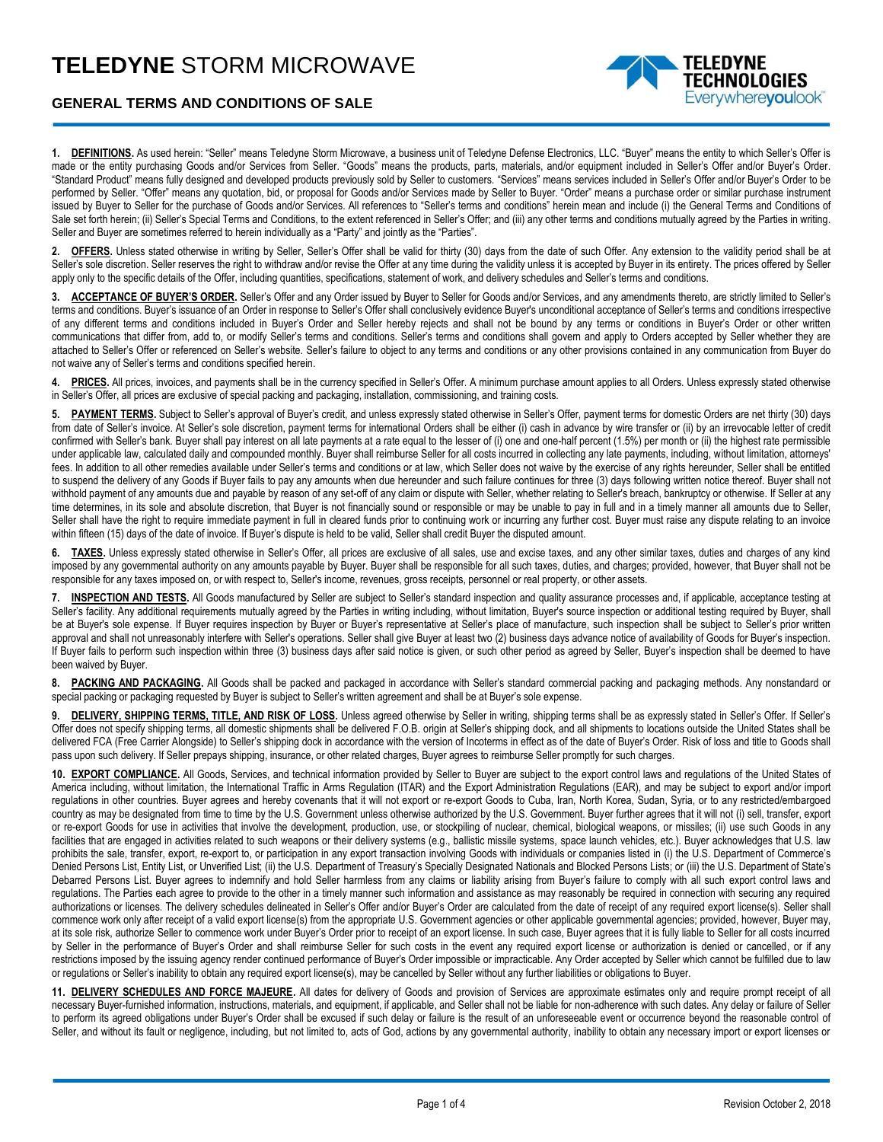## **TELEDYNE** STORM MICROWAVE



## **GENERAL TERMS AND CONDITIONS OF SALE**

**1. DEFINITIONS.** As used herein: "Seller" means Teledyne Storm Microwave, a business unit of Teledyne Defense Electronics, LLC. "Buyer" means the entity to which Seller's Offer is made or the entity purchasing Goods and/or Services from Seller. "Goods" means the products, parts, materials, and/or equipment included in Seller's Offer and/or Buyer's Order. "Standard Product" means fully designed and developed products previously sold by Seller to customers. "Services" means services included in Seller's Offer and/or Buyer's Order to be performed by Seller. "Offer" means any quotation, bid, or proposal for Goods and/or Services made by Seller to Buyer. "Order" means a purchase order or similar purchase instrument issued by Buyer to Seller for the purchase of Goods and/or Services. All references to "Seller's terms and conditions" herein mean and include (i) the General Terms and Conditions of Sale set forth herein; (ii) Seller's Special Terms and Conditions, to the extent referenced in Seller's Offer; and (iii) any other terms and conditions mutually agreed by the Parties in writing. Seller and Buyer are sometimes referred to herein individually as a "Party" and jointly as the "Parties".

2. **OFFERS.** Unless stated otherwise in writing by Seller, Seller's Offer shall be valid for thirty (30) days from the date of such Offer. Any extension to the validity period shall be at Seller's sole discretion. Seller reserves the right to withdraw and/or revise the Offer at any time during the validity unless it is accepted by Buyer in its entirety. The prices offered by Seller apply only to the specific details of the Offer, including quantities, specifications, statement of work, and delivery schedules and Seller's terms and conditions.

**3. ACCEPTANCE OF BUYER'S ORDER.** Seller's Offer and any Order issued by Buyer to Seller for Goods and/or Services, and any amendments thereto, are strictly limited to Seller's terms and conditions. Buyer's issuance of an Order in response to Seller's Offer shall conclusively evidence Buyer's unconditional acceptance of Seller's terms and conditions irrespective of any different terms and conditions included in Buyer's Order and Seller hereby rejects and shall not be bound by any terms or conditions in Buyer's Order or other written communications that differ from, add to, or modify Seller's terms and conditions. Seller's terms and conditions shall govern and apply to Orders accepted by Seller whether they are attached to Seller's Offer or referenced on Seller's website. Seller's failure to object to any terms and conditions or any other provisions contained in any communication from Buyer do not waive any of Seller's terms and conditions specified herein.

4. PRICES. All prices, invoices, and payments shall be in the currency specified in Seller's Offer. A minimum purchase amount applies to all Orders. Unless expressly stated otherwise in Seller's Offer, all prices are exclusive of special packing and packaging, installation, commissioning, and training costs.

**5. PAYMENT TERMS.** Subject to Seller's approval of Buyer's credit, and unless expressly stated otherwise in Seller's Offer, payment terms for domestic Orders are net thirty (30) days from date of Seller's invoice. At Seller's sole discretion, payment terms for international Orders shall be either (i) cash in advance by wire transfer or (ii) by an irrevocable letter of credit confirmed with Seller's bank. Buyer shall pay interest on all late payments at a rate equal to the lesser of (i) one and one-half percent (1.5%) per month or (ii) the highest rate permissible under applicable law, calculated daily and compounded monthly. Buyer shall reimburse Seller for all costs incurred in collecting any late payments, including, without limitation, attorneys' fees. In addition to all other remedies available under Seller's terms and conditions or at law, which Seller does not waive by the exercise of any rights hereunder, Seller shall be entitled to suspend the delivery of any Goods if Buyer fails to pay any amounts when due hereunder and such failure continues for three (3) days following written notice thereof. Buyer shall not withhold payment of any amounts due and payable by reason of any set-off of any claim or dispute with Seller, whether relating to Seller's breach, bankruptcy or otherwise. If Seller at any time determines, in its sole and absolute discretion, that Buyer is not financially sound or responsible or may be unable to pay in full and in a timely manner all amounts due to Seller, Seller shall have the right to require immediate payment in full in cleared funds prior to continuing work or incurring any further cost. Buyer must raise any dispute relating to an invoice within fifteen (15) days of the date of invoice. If Buyer's dispute is held to be valid, Seller shall credit Buyer the disputed amount.

**6. TAXES.** Unless expressly stated otherwise in Seller's Offer, all prices are exclusive of all sales, use and excise taxes, and any other similar taxes, duties and charges of any kind imposed by any governmental authority on any amounts payable by Buyer. Buyer shall be responsible for all such taxes, duties, and charges; provided, however, that Buyer shall not be responsible for any taxes imposed on, or with respect to, Seller's income, revenues, gross receipts, personnel or real property, or other assets.

**7. INSPECTION AND TESTS.** All Goods manufactured by Seller are subject to Seller's standard inspection and quality assurance processes and, if applicable, acceptance testing at Seller's facility. Any additional requirements mutually agreed by the Parties in writing including, without limitation, Buyer's source inspection or additional testing required by Buyer, shall be at Buyer's sole expense. If Buyer requires inspection by Buyer or Buyer's representative at Seller's place of manufacture, such inspection shall be subject to Seller's prior written approval and shall not unreasonably interfere with Seller's operations. Seller shall give Buyer at least two (2) business days advance notice of availability of Goods for Buyer's inspection. If Buyer fails to perform such inspection within three (3) business days after said notice is given, or such other period as agreed by Seller, Buyer's inspection shall be deemed to have been waived by Buyer.

8. PACKING AND PACKAGING. All Goods shall be packed and packaged in accordance with Seller's standard commercial packing and packaging methods. Any nonstandard or special packing or packaging requested by Buyer is subject to Seller's written agreement and shall be at Buyer's sole expense.

9. **DELIVERY, SHIPPING TERMS, TITLE, AND RISK OF LOSS.** Unless agreed otherwise by Seller in writing, shipping terms shall be as expressly stated in Seller's Offer. If Seller's Offer does not specify shipping terms, all domestic shipments shall be delivered F.O.B. origin at Seller's shipping dock, and all shipments to locations outside the United States shall be delivered FCA (Free Carrier Alongside) to Seller's shipping dock in accordance with the version of Incoterms in effect as of the date of Buyer's Order. Risk of loss and title to Goods shall pass upon such delivery. If Seller prepays shipping, insurance, or other related charges, Buyer agrees to reimburse Seller promptly for such charges.

**10. EXPORT COMPLIANCE.** All Goods, Services, and technical information provided by Seller to Buyer are subject to the export control laws and regulations of the United States of America including, without limitation, the International Traffic in Arms Regulation (ITAR) and the Export Administration Regulations (EAR), and may be subject to export and/or import regulations in other countries. Buyer agrees and hereby covenants that it will not export or re-export Goods to Cuba, Iran, North Korea, Sudan, Syria, or to any restricted/embargoed country as may be designated from time to time by the U.S. Government unless otherwise authorized by the U.S. Government. Buyer further agrees that it will not (i) sell, transfer, export or re-export Goods for use in activities that involve the development, production, use, or stockpiling of nuclear, chemical, biological weapons, or missiles; (ii) use such Goods in any facilities that are engaged in activities related to such weapons or their delivery systems (e.g., ballistic missile systems, space launch vehicles, etc.). Buyer acknowledges that U.S. law prohibits the sale, transfer, export, re-export to, or participation in any export transaction involving Goods with individuals or companies listed in (i) the U.S. Department of Commerce's Denied Persons List, Entity List, or Unverified List; (ii) the U.S. Department of Treasury's Specially Designated Nationals and Blocked Persons Lists; or (iii) the U.S. Department of State's Debarred Persons List. Buyer agrees to indemnify and hold Seller harmless from any claims or liability arising from Buyer's failure to comply with all such export control laws and regulations. The Parties each agree to provide to the other in a timely manner such information and assistance as may reasonably be required in connection with securing any required authorizations or licenses. The delivery schedules delineated in Seller's Offer and/or Buyer's Order are calculated from the date of receipt of any required export license(s). Seller shall commence work only after receipt of a valid export license(s) from the appropriate U.S. Government agencies or other applicable governmental agencies; provided, however, Buyer may, at its sole risk, authorize Seller to commence work under Buyer's Order prior to receipt of an export license. In such case, Buyer agrees that it is fully liable to Seller for all costs incurred by Seller in the performance of Buyer's Order and shall reimburse Seller for such costs in the event any required export license or authorization is denied or cancelled, or if any restrictions imposed by the issuing agency render continued performance of Buyer's Order impossible or impracticable. Any Order accepted by Seller which cannot be fulfilled due to law or regulations or Seller's inability to obtain any required export license(s), may be cancelled by Seller without any further liabilities or obligations to Buyer.

**11. DELIVERY SCHEDULES AND FORCE MAJEURE.** All dates for delivery of Goods and provision of Services are approximate estimates only and require prompt receipt of all necessary Buyer-furnished information, instructions, materials, and equipment, if applicable, and Seller shall not be liable for non-adherence with such dates. Any delay or failure of Seller to perform its agreed obligations under Buyer's Order shall be excused if such delay or failure is the result of an unforeseeable event or occurrence beyond the reasonable control of Seller, and without its fault or negligence, including, but not limited to, acts of God, actions by any governmental authority, inability to obtain any necessary import or export licenses or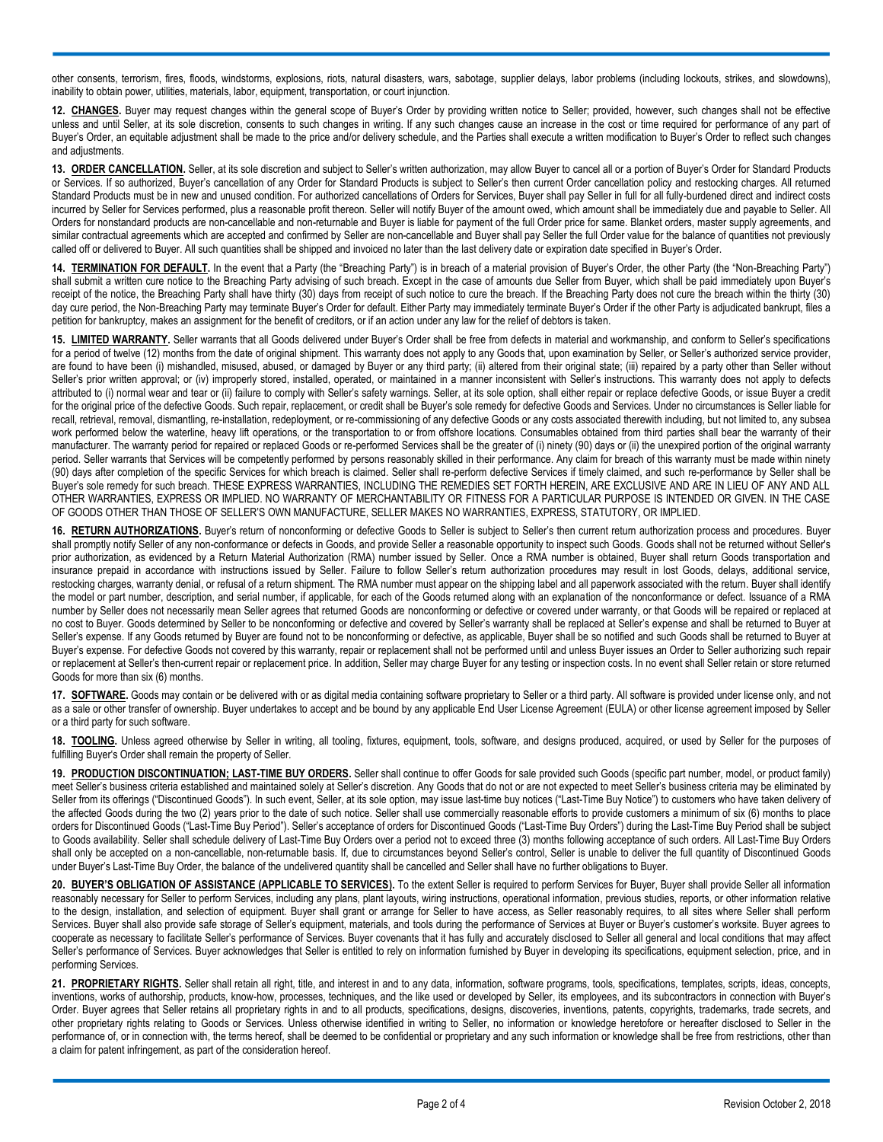other consents, terrorism, fires, floods, windstorms, explosions, riots, natural disasters, wars, sabotage, supplier delays, labor problems (including lockouts, strikes, and slowdowns), inability to obtain power, utilities, materials, labor, equipment, transportation, or court injunction.

**12. CHANGES.** Buyer may request changes within the general scope of Buyer's Order by providing written notice to Seller; provided, however, such changes shall not be effective unless and until Seller, at its sole discretion, consents to such changes in writing. If any such changes cause an increase in the cost or time required for performance of any part of Buyer's Order, an equitable adjustment shall be made to the price and/or delivery schedule, and the Parties shall execute a written modification to Buyer's Order to reflect such changes and adjustments.

**13. ORDER CANCELLATION.** Seller, at its sole discretion and subject to Seller's written authorization, may allow Buyer to cancel all or a portion of Buyer's Order for Standard Products or Services. If so authorized, Buyer's cancellation of any Order for Standard Products is subject to Seller's then current Order cancellation policy and restocking charges. All returned Standard Products must be in new and unused condition. For authorized cancellations of Orders for Services, Buyer shall pay Seller in full for all fully-burdened direct and indirect costs incurred by Seller for Services performed, plus a reasonable profit thereon. Seller will notify Buyer of the amount owed, which amount shall be immediately due and payable to Seller. All Orders for nonstandard products are non-cancellable and non-returnable and Buyer is liable for payment of the full Order price for same. Blanket orders, master supply agreements, and similar contractual agreements which are accepted and confirmed by Seller are non-cancellable and Buyer shall pay Seller the full Order value for the balance of quantities not previously called off or delivered to Buyer. All such quantities shall be shipped and invoiced no later than the last delivery date or expiration date specified in Buyer's Order.

**14. TERMINATION FOR DEFAULT.** In the event that a Party (the "Breaching Party") is in breach of a material provision of Buyer's Order, the other Party (the "Non-Breaching Party") shall submit a written cure notice to the Breaching Party advising of such breach. Except in the case of amounts due Seller from Buyer, which shall be paid immediately upon Buyer's receipt of the notice, the Breaching Party shall have thirty (30) days from receipt of such notice to cure the breach. If the Breaching Party does not cure the breach within the thirty (30) day cure period, the Non-Breaching Party may terminate Buyer's Order for default. Either Party may immediately terminate Buyer's Order if the other Party is adjudicated bankrupt, files a petition for bankruptcy, makes an assignment for the benefit of creditors, or if an action under any law for the relief of debtors is taken.

**15. LIMITED WARRANTY.** Seller warrants that all Goods delivered under Buyer's Order shall be free from defects in material and workmanship, and conform to Seller's specifications for a period of twelve (12) months from the date of original shipment. This warranty does not apply to any Goods that, upon examination by Seller, or Seller's authorized service provider, are found to have been (i) mishandled, misused, abused, or damaged by Buyer or any third party; (ii) altered from their original state; (iii) repaired by a party other than Seller without Seller's prior written approval; or (iv) improperly stored, installed, operated, or maintained in a manner inconsistent with Seller's instructions. This warranty does not apply to defects attributed to (i) normal wear and tear or (ii) failure to comply with Seller's safety warnings. Seller, at its sole option, shall either repair or replace defective Goods, or issue Buyer a credit for the original price of the defective Goods. Such repair, replacement, or credit shall be Buyer's sole remedy for defective Goods and Services. Under no circumstances is Seller liable for recall, retrieval, removal, dismantling, re-installation, redeployment, or re-commissioning of any defective Goods or any costs associated therewith including, but not limited to, any subsea work performed below the waterline, heavy lift operations, or the transportation to or from offshore locations. Consumables obtained from third parties shall bear the warranty of their manufacturer. The warranty period for repaired or replaced Goods or re-performed Services shall be the greater of (i) ninety (90) days or (ii) the unexpired portion of the original warranty period. Seller warrants that Services will be competently performed by persons reasonably skilled in their performance. Any claim for breach of this warranty must be made within ninety (90) days after completion of the specific Services for which breach is claimed. Seller shall re-perform defective Services if timely claimed, and such re-performance by Seller shall be Buyer's sole remedy for such breach. THESE EXPRESS WARRANTIES, INCLUDING THE REMEDIES SET FORTH HEREIN, ARE EXCLUSIVE AND ARE IN LIEU OF ANY AND ALL OTHER WARRANTIES, EXPRESS OR IMPLIED. NO WARRANTY OF MERCHANTABILITY OR FITNESS FOR A PARTICULAR PURPOSE IS INTENDED OR GIVEN. IN THE CASE OF GOODS OTHER THAN THOSE OF SELLER'S OWN MANUFACTURE, SELLER MAKES NO WARRANTIES, EXPRESS, STATUTORY, OR IMPLIED.

**16. RETURN AUTHORIZATIONS.** Buyer's return of nonconforming or defective Goods to Seller is subject to Seller's then current return authorization process and procedures. Buyer shall promptly notify Seller of any non-conformance or defects in Goods, and provide Seller a reasonable opportunity to inspect such Goods. Goods shall not be returned without Seller's prior authorization, as evidenced by a Return Material Authorization (RMA) number issued by Seller. Once a RMA number is obtained, Buyer shall return Goods transportation and insurance prepaid in accordance with instructions issued by Seller. Failure to follow Seller's return authorization procedures may result in lost Goods, delays, additional service, restocking charges, warranty denial, or refusal of a return shipment. The RMA number must appear on the shipping label and all paperwork associated with the return. Buyer shall identify the model or part number, description, and serial number, if applicable, for each of the Goods returned along with an explanation of the nonconformance or defect. Issuance of a RMA number by Seller does not necessarily mean Seller agrees that returned Goods are nonconforming or defective or covered under warranty, or that Goods will be repaired or replaced at no cost to Buyer. Goods determined by Seller to be nonconforming or defective and covered by Seller's warranty shall be replaced at Seller's expense and shall be returned to Buyer at Seller's expense. If any Goods returned by Buyer are found not to be nonconforming or defective, as applicable, Buyer shall be so notified and such Goods shall be returned to Buyer at Buyer's expense. For defective Goods not covered by this warranty, repair or replacement shall not be performed until and unless Buyer issues an Order to Seller authorizing such repair or replacement at Seller's then-current repair or replacement price. In addition, Seller may charge Buyer for any testing or inspection costs. In no event shall Seller retain or store returned Goods for more than six (6) months.

17. **SOFTWARE**. Goods may contain or be delivered with or as digital media containing software proprietary to Seller or a third party. All software is provided under license only, and not as a sale or other transfer of ownership. Buyer undertakes to accept and be bound by any applicable End User License Agreement (EULA) or other license agreement imposed by Seller or a third party for such software.

**18. TOOLING.** Unless agreed otherwise by Seller in writing, all tooling, fixtures, equipment, tools, software, and designs produced, acquired, or used by Seller for the purposes of fulfilling Buyer's Order shall remain the property of Seller.

**19. PRODUCTION DISCONTINUATION; LAST-TIME BUY ORDERS.** Seller shall continue to offer Goods for sale provided such Goods (specific part number, model, or product family) meet Seller's business criteria established and maintained solely at Seller's discretion. Any Goods that do not or are not expected to meet Seller's business criteria may be eliminated by Seller from its offerings ("Discontinued Goods"). In such event, Seller, at its sole option, may issue last-time buy notices ("Last-Time Buy Notice") to customers who have taken delivery of the affected Goods during the two (2) years prior to the date of such notice. Seller shall use commercially reasonable efforts to provide customers a minimum of six (6) months to place orders for Discontinued Goods ("Last-Time Buy Period"). Seller's acceptance of orders for Discontinued Goods ("Last-Time Buy Orders") during the Last-Time Buy Period shall be subject to Goods availability. Seller shall schedule delivery of Last-Time Buy Orders over a period not to exceed three (3) months following acceptance of such orders. All Last-Time Buy Orders shall only be accepted on a non-cancellable, non-returnable basis. If, due to circumstances beyond Seller's control, Seller is unable to deliver the full quantity of Discontinued Goods under Buyer's Last-Time Buy Order, the balance of the undelivered quantity shall be cancelled and Seller shall have no further obligations to Buyer.

20. **BUYER'S OBLIGATION OF ASSISTANCE (APPLICABLE TO SERVICES).** To the extent Seller is required to perform Services for Buyer, Buyer shall provide Seller all information reasonably necessary for Seller to perform Services, including any plans, plant layouts, wiring instructions, operational information, previous studies, reports, or other information relative to the design, installation, and selection of equipment. Buyer shall grant or arrange for Seller to have access, as Seller reasonably requires, to all sites where Seller shall perform Services. Buyer shall also provide safe storage of Seller's equipment, materials, and tools during the performance of Services at Buyer or Buyer's customer's worksite. Buyer agrees to cooperate as necessary to facilitate Seller's performance of Services. Buyer covenants that it has fully and accurately disclosed to Seller all general and local conditions that may affect Seller's performance of Services. Buyer acknowledges that Seller is entitled to rely on information furnished by Buyer in developing its specifications, equipment selection, price, and in performing Services.

**21. PROPRIETARY RIGHTS.** Seller shall retain all right, title, and interest in and to any data, information, software programs, tools, specifications, templates, scripts, ideas, concepts, inventions, works of authorship, products, know-how, processes, techniques, and the like used or developed by Seller, its employees, and its subcontractors in connection with Buyer's Order. Buyer agrees that Seller retains all proprietary rights in and to all products, specifications, designs, discoveries, inventions, patents, copyrights, trademarks, trade secrets, and other proprietary rights relating to Goods or Services. Unless otherwise identified in writing to Seller, no information or knowledge heretofore or hereafter disclosed to Seller in the performance of, or in connection with, the terms hereof, shall be deemed to be confidential or proprietary and any such information or knowledge shall be free from restrictions, other than a claim for patent infringement, as part of the consideration hereof.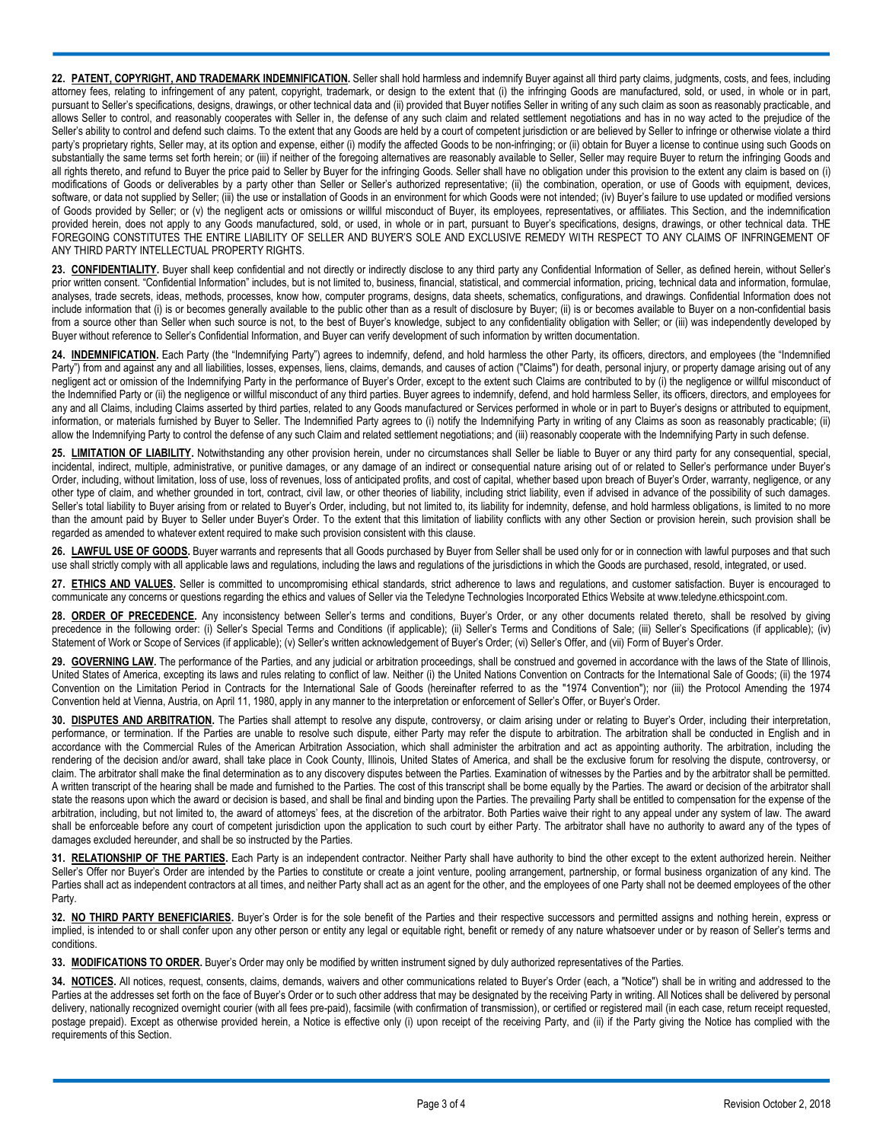22. PATENT, COPYRIGHT, AND TRADEMARK INDEMNIFICATION. Seller shall hold harmless and indemnify Buyer against all third party claims, judgments, costs, and fees, including attorney fees, relating to infringement of any patent, copyright, trademark, or design to the extent that (i) the infringing Goods are manufactured, sold, or used, in whole or in part, pursuant to Seller's specifications, designs, drawings, or other technical data and (ii) provided that Buyer notifies Seller in writing of any such claim as soon as reasonably practicable, and allows Seller to control, and reasonably cooperates with Seller in, the defense of any such claim and related settlement negotiations and has in no way acted to the prejudice of the Seller's ability to control and defend such claims. To the extent that any Goods are held by a court of competent jurisdiction or are believed by Seller to infringe or otherwise violate a third party's proprietary rights, Seller may, at its option and expense, either (i) modify the affected Goods to be non-infringing; or (ii) obtain for Buyer a license to continue using such Goods on substantially the same terms set forth herein; or (iii) if neither of the foregoing alternatives are reasonably available to Seller, Seller may require Buyer to return the infringing Goods and all rights thereto, and refund to Buyer the price paid to Seller by Buyer for the infringing Goods. Seller shall have no obligation under this provision to the extent any claim is based on (i) modifications of Goods or deliverables by a party other than Seller or Seller's authorized representative; (ii) the combination, operation, or use of Goods with equipment, devices, software, or data not supplied by Seller; (iii) the use or installation of Goods in an environment for which Goods were not intended; (iv) Buyer's failure to use updated or modified versions of Goods provided by Seller; or (v) the negligent acts or omissions or willful misconduct of Buyer, its employees, representatives, or affiliates. This Section, and the indemnification provided herein, does not apply to any Goods manufactured, sold, or used, in whole or in part, pursuant to Buyer's specifications, designs, drawings, or other technical data. THE FOREGOING CONSTITUTES THE ENTIRE LIABILITY OF SELLER AND BUYER'S SOLE AND EXCLUSIVE REMEDY WITH RESPECT TO ANY CLAIMS OF INFRINGEMENT OF ANY THIRD PARTY INTELLECTUAL PROPERTY RIGHTS.

23. **CONFIDENTIALITY**. Buyer shall keep confidential and not directly or indirectly disclose to any third party any Confidential Information of Seller, as defined herein, without Seller's prior written consent. "Confidential Information" includes, but is not limited to, business, financial, statistical, and commercial information, pricing, technical data and information, formulae, analyses, trade secrets, ideas, methods, processes, know how, computer programs, designs, data sheets, schematics, configurations, and drawings. Confidential Information does not include information that (i) is or becomes generally available to the public other than as a result of disclosure by Buyer; (ii) is or becomes available to Buyer on a non-confidential basis from a source other than Seller when such source is not, to the best of Buyer's knowledge, subject to any confidentiality obligation with Seller; or (iii) was independently developed by Buyer without reference to Seller's Confidential Information, and Buyer can verify development of such information by written documentation.

**24. INDEMNIFICATION.** Each Party (the "Indemnifying Party") agrees to indemnify, defend, and hold harmless the other Party, its officers, directors, and employees (the "Indemnified Party") from and against any and all liabilities, losses, expenses, liens, claims, demands, and causes of action ("Claims") for death, personal injury, or property damage arising out of any negligent act or omission of the Indemnifying Party in the performance of Buyer's Order, except to the extent such Claims are contributed to by (i) the negligence or willful misconduct of the Indemnified Party or (ii) the negligence or willful misconduct of any third parties. Buyer agrees to indemnify, defend, and hold harmless Seller, its officers, directors, and employees for any and all Claims, including Claims asserted by third parties, related to any Goods manufactured or Services performed in whole or in part to Buyer's designs or attributed to equipment, information, or materials furnished by Buyer to Seller. The Indemnified Party agrees to (i) notify the Indemnifying Party in writing of any Claims as soon as reasonably practicable; (ii) allow the Indemnifying Party to control the defense of any such Claim and related settlement negotiations; and (iii) reasonably cooperate with the Indemnifying Party in such defense.

**25. LIMITATION OF LIABILITY.** Notwithstanding any other provision herein, under no circumstances shall Seller be liable to Buyer or any third party for any consequential, special, incidental, indirect, multiple, administrative, or punitive damages, or any damage of an indirect or consequential nature arising out of or related to Seller's performance under Buyer's Order, including, without limitation, loss of use, loss of revenues, loss of anticipated profits, and cost of capital, whether based upon breach of Buyer's Order, warranty, negligence, or any other type of claim, and whether grounded in tort, contract, civil law, or other theories of liability, including strict liability, even if advised in advance of the possibility of such damages. Seller's total liability to Buyer arising from or related to Buyer's Order, including, but not limited to, its liability for indemnity, defense, and hold harmless obligations, is limited to no more than the amount paid by Buyer to Seller under Buyer's Order. To the extent that this limitation of liability conflicts with any other Section or provision herein, such provision shall be regarded as amended to whatever extent required to make such provision consistent with this clause.

26. LAWFUL USE OF GOODS. Buyer warrants and represents that all Goods purchased by Buyer from Seller shall be used only for or in connection with lawful purposes and that such use shall strictly comply with all applicable laws and regulations, including the laws and regulations of the jurisdictions in which the Goods are purchased, resold, integrated, or used.

**27. ETHICS AND VALUES.** Seller is committed to uncompromising ethical standards, strict adherence to laws and regulations, and customer satisfaction. Buyer is encouraged to communicate any concerns or questions regarding the ethics and values of Seller via the Teledyne Technologies Incorporated Ethics Website at www.teledyne.ethicspoint.com.

28. ORDER OF PRECEDENCE. Any inconsistency between Seller's terms and conditions, Buyer's Order, or any other documents related thereto, shall be resolved by giving precedence in the following order: (i) Seller's Special Terms and Conditions (if applicable); (ii) Seller's Terms and Conditions of Sale; (iii) Seller's Specifications (if applicable); (iv) Statement of Work or Scope of Services (if applicable); (v) Seller's written acknowledgement of Buyer's Order; (vi) Seller's Offer, and (vii) Form of Buyer's Order.

29. **GOVERNING LAW**. The performance of the Parties, and any judicial or arbitration proceedings, shall be construed and governed in accordance with the laws of the State of Illinois, United States of America, excepting its laws and rules relating to conflict of law. Neither (i) the United Nations Convention on Contracts for the International Sale of Goods; (ii) the 1974 Convention on the Limitation Period in Contracts for the International Sale of Goods (hereinafter referred to as the "1974 Convention"); nor (iii) the Protocol Amending the 1974 Convention held at Vienna, Austria, on April 11, 1980, apply in any manner to the interpretation or enforcement of Seller's Offer, or Buyer's Order.

30. DISPUTES AND ARBITRATION. The Parties shall attempt to resolve any dispute, controversy, or claim arising under or relating to Buyer's Order, including their interpretation, performance, or termination. If the Parties are unable to resolve such dispute, either Party may refer the dispute to arbitration. The arbitration shall be conducted in English and in accordance with the Commercial Rules of the American Arbitration Association, which shall administer the arbitration and act as appointing authority. The arbitration, including the rendering of the decision and/or award, shall take place in Cook County, Illinois, United States of America, and shall be the exclusive forum for resolving the dispute, controversy, or claim. The arbitrator shall make the final determination as to any discovery disputes between the Parties. Examination of witnesses by the Parties and by the arbitrator shall be permitted. A written transcript of the hearing shall be made and furnished to the Parties. The cost of this transcript shall be borne equally by the Parties. The award or decision of the arbitrator shall state the reasons upon which the award or decision is based, and shall be final and binding upon the Parties. The prevailing Party shall be entitled to compensation for the expense of the arbitration, including, but not limited to, the award of attorneys' fees, at the discretion of the arbitrator. Both Parties waive their right to any appeal under any system of law. The award shall be enforceable before any court of competent jurisdiction upon the application to such court by either Party. The arbitrator shall have no authority to award any of the types of damages excluded hereunder, and shall be so instructed by the Parties.

**31. RELATIONSHIP OF THE PARTIES.** Each Party is an independent contractor. Neither Party shall have authority to bind the other except to the extent authorized herein. Neither Seller's Offer nor Buyer's Order are intended by the Parties to constitute or create a joint venture, pooling arrangement, partnership, or formal business organization of any kind. The Parties shall act as independent contractors at all times, and neither Party shall act as an agent for the other, and the employees of one Party shall not be deemed employees of the other Party.

**32. NO THIRD PARTY BENEFICIARIES.** Buyer's Order is for the sole benefit of the Parties and their respective successors and permitted assigns and nothing herein, express or implied, is intended to or shall confer upon any other person or entity any legal or equitable right, benefit or remedy of any nature whatsoever under or by reason of Seller's terms and conditions.

**33. MODIFICATIONS TO ORDER.** Buyer's Order may only be modified by written instrument signed by duly authorized representatives of the Parties.

**34. NOTICES.** All notices, request, consents, claims, demands, waivers and other communications related to Buyer's Order (each, a "Notice") shall be in writing and addressed to the Parties at the addresses set forth on the face of Buyer's Order or to such other address that may be designated by the receiving Party in writing. All Notices shall be delivered by personal delivery, nationally recognized overnight courier (with all fees pre-paid), facsimile (with confirmation of transmission), or certified or registered mail (in each case, return receipt requested, postage prepaid). Except as otherwise provided herein, a Notice is effective only (i) upon receipt of the receiving Party, and (ii) if the Party giving the Notice has complied with the requirements of this Section.